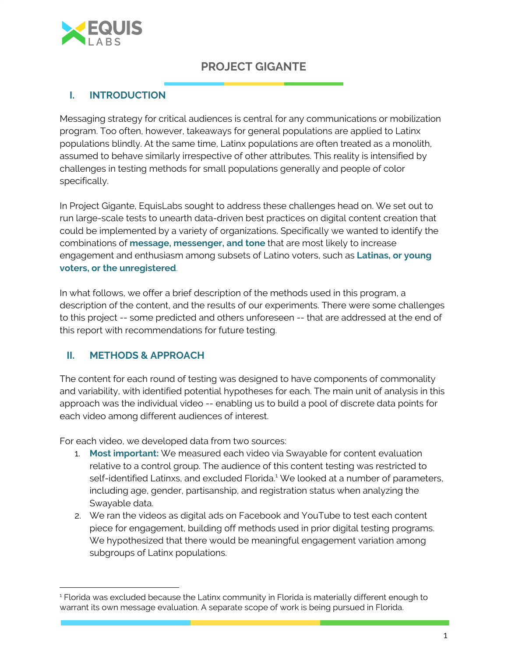

# **PROJECT GIGANTE**

## **I. INTRODUCTION**

Messaging strategy for critical audiences is central for any communications or mobilization program. Too often, however, takeaways for general populations are applied to Latinx populations blindly. At the same time, Latinx populations are often treated as a monolith, assumed to behave similarly irrespective of other attributes. This reality is intensified by challenges in testing methods for small populations generally and people of color specifically.

In Project Gigante, EquisLabs sought to address these challenges head on. We set out to run large-scale tests to unearth data-driven best practices on digital content creation that could be implemented by a variety of organizations. Specifically we wanted to identify the combinations of **message, messenger, and tone** that are most likely to increase engagement and enthusiasm among subsets of Latino voters, such as **Latinas, or young voters, or the unregistered**.

In what follows, we offer a brief description of the methods used in this program, a description of the content, and the results of our experiments. There were some challenges to this project -- some predicted and others unforeseen -- that are addressed at the end of this report with recommendations for future testing.

## **II. METHODS & APPROACH**

The content for each round of testing was designed to have components of commonality and variability, with identified potential hypotheses for each. The main unit of analysis in this approach was the individual video -- enabling us to build a pool of discrete data points for each video among different audiences of interest.

For each video, we developed data from two sources:

- 1. **Most important:** We measured each video via Swayable for content evaluation relative to a control group. The audience of this content testing was restricted to self-identified Latinxs, and excluded Florida.<sup>1</sup> We looked at a number of parameters, including age, gender, partisanship, and registration status when analyzing the Swayable data.
- 2. We ran the videos as digital ads on Facebook and YouTube to test each content piece for engagement, building off methods used in prior digital testing programs. We hypothesized that there would be meaningful engagement variation among subgroups of Latinx populations.

<sup>&</sup>lt;sup>1</sup> Florida was excluded because the Latinx community in Florida is materially different enough to warrant its own message evaluation. A separate scope of work is being pursued in Florida.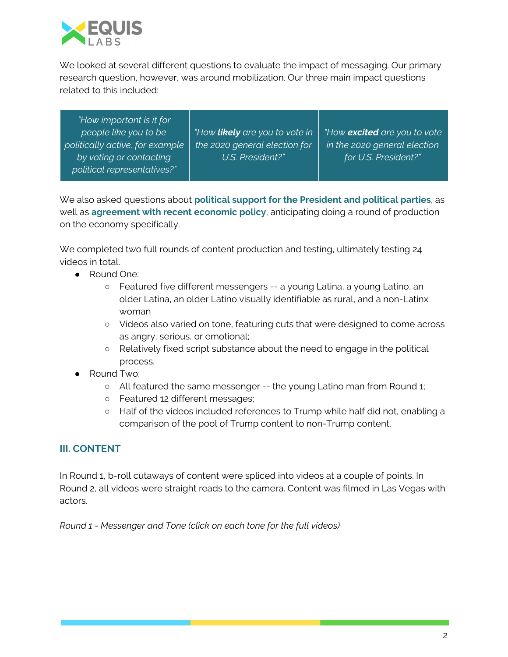

We looked at several different questions to evaluate the impact of messaging. Our primary research question, however, was around mobilization. Our three main impact questions related to this included:

| "How important is it for<br>people like you to be<br>politically active, for example<br>by voting or contacting<br>political representatives?" | "How <b>likely</b> are you to vote in<br>the 2020 general election for<br>U.S. President?" | "How excited are you to vote<br>in the 2020 general election<br>for U.S. President?" |
|------------------------------------------------------------------------------------------------------------------------------------------------|--------------------------------------------------------------------------------------------|--------------------------------------------------------------------------------------|
|------------------------------------------------------------------------------------------------------------------------------------------------|--------------------------------------------------------------------------------------------|--------------------------------------------------------------------------------------|

We also asked questions about **political support for the President and political parties**, as well as **agreement with recent economic policy**, anticipating doing a round of production on the economy specifically.

We completed two full rounds of content production and testing, ultimately testing 24 videos in total.

- Round One:
	- Featured five different messengers -- a young Latina, a young Latino, an older Latina, an older Latino visually identifiable as rural, and a non-Latinx woman
	- Videos also varied on tone, featuring cuts that were designed to come across as angry, serious, or emotional;
	- Relatively fixed script substance about the need to engage in the political process.
- Round Two:
	- All featured the same messenger -- the young Latino man from Round 1;
	- Featured 12 different messages;
	- Half of the videos included references to Trump while half did not, enabling a comparison of the pool of Trump content to non-Trump content.

## **III. CONTENT**

In Round 1, b-roll cutaways of content were spliced into videos at a couple of points. In Round 2, all videos were straight reads to the camera. Content was filmed in Las Vegas with actors.

*Round 1 - Messenger and Tone (click on each tone for the full videos)*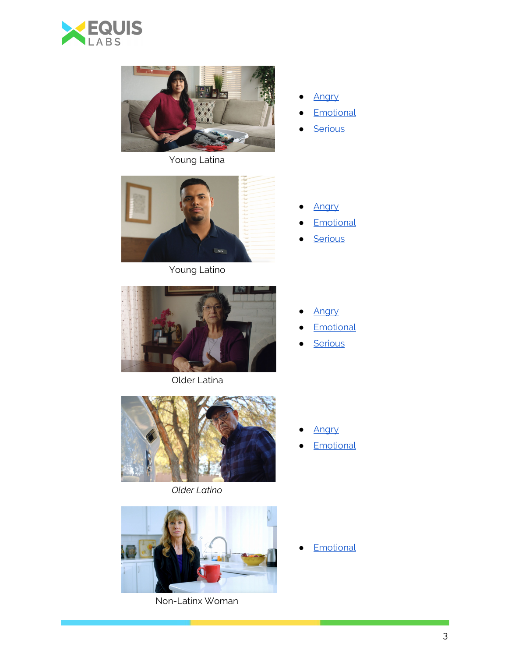



Young Latina



- **[Emotional](https://drive.google.com/file/d/13JQzgIumsNSqUZ1AeUWU-bGw78ftQKGp/view?usp=sharing)**
- [Serious](https://drive.google.com/file/d/1czB23E4eK6mI8AllULKOr6yGVWJVtfkB/view?usp=sharing)



Young Latino

- [Angry](https://drive.google.com/file/d/1N2J0cf8nJf4Wc_5u8QzkWXtOJGYUqMmk/view?usp=sharing)
- **[Emotional](https://drive.google.com/file/d/1WpjyNlY6R_Pez2G7wnWF3IruOAVMcezT/view?usp=sharing)**
- [Serious](https://drive.google.com/file/d/1IRrLU-9erNQS7RqdYkyk5rQI4UI8e_R8/view?usp=sharing)



Older Latina

- [Angry](https://drive.google.com/file/d/1kr4GGyXe1pEHJHvhWlAXKusa1NDdr0Wg/view?usp=sharing)
- **[Emotional](https://drive.google.com/file/d/1yCgPFtqgv6iYz7YGD7hjw3k5OsaHz51I/view?usp=sharing)**
- [Serious](https://drive.google.com/file/d/13adRySpKIt9PX2MBi4OS1T0V9bml0h1x/view?usp=sharing)



*Older Latino*



Non-Latinx Woman

- [Angry](https://drive.google.com/file/d/1K5nihXPJq6-vk_rvMsRFTZxNAxCKdbRB/view?usp=sharing)
- **[Emotional](https://drive.google.com/file/d/1rrxdy82K5q47UHxTbDPlY2QA2WuMrCuw/view?usp=sharing)**

**[Emotional](https://drive.google.com/file/d/1Grxnk4BZfUiLXX1sUe-aJ-NjXYGEBcSX/view?usp=sharing)**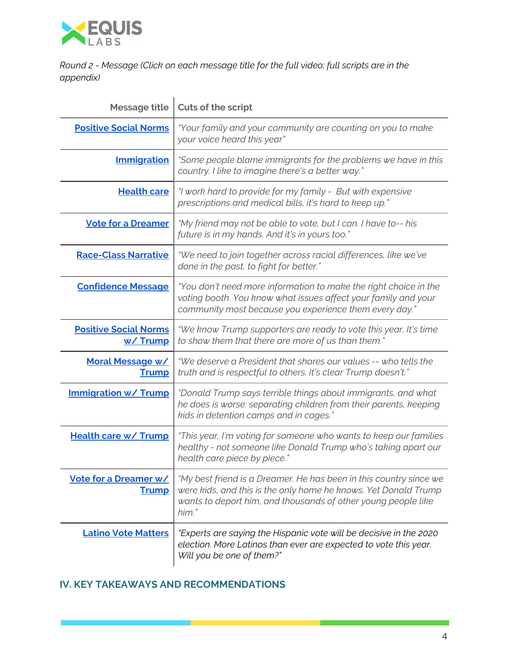

*Round 2 - Message (Click on each message title for the full video; full scripts are in the appendix)*

| <b>Message title</b>                    | Cuts of the script                                                                                                                                                                                              |
|-----------------------------------------|-----------------------------------------------------------------------------------------------------------------------------------------------------------------------------------------------------------------|
| <b>Positive Social Norms</b>            | "Your family and your community are counting on you to make<br>your voice heard this year"                                                                                                                      |
| <b>Immigration</b>                      | "Some people blame immigrants for the problems we have in this<br>country. I like to imagine there's a better way."                                                                                             |
| <b>Health care</b>                      | "I work hard to provide for my family - But with expensive<br>prescriptions and medical bills, it's hard to keep up."                                                                                           |
| <b>Vote for a Dreamer</b>               | "My friend may not be able to vote, but I can. I have to-- his<br>future is in my hands. And it's in yours too."                                                                                                |
| <b>Race-Class Narrative</b>             | "We need to join together across racial differences, like we've<br>done in the past, to fight for better."                                                                                                      |
| <b>Confidence Message</b>               | "You don't need more information to make the right choice in the<br>voting booth. You know what issues affect your family and your<br>community most because you experience them every day."                    |
| <b>Positive Social Norms</b><br>w/Trump | "We know Trump supporters are ready to vote this year. It's time<br>to show them that there are more of us than them."                                                                                          |
| <b>Moral Message w/</b><br><b>Trump</b> | "We deserve a President that shares our values -- who tells the<br>truth and is respectful to others. It's clear Trump doesn't."                                                                                |
| <b>Immigration w/ Trump</b>             | "Donald Trump says terrible things about immigrants, and what<br>he does is worse: separating children from their parents, keeping<br>kids in detention camps and in cages."                                    |
| <b>Health care w/ Trump</b>             | "This year, I'm voting for someone who wants to keep our families<br>healthy - not someone like Donald Trump who's taking apart our<br>health care piece by piece."                                             |
| Vote for a Dreamer w/<br><b>Trump</b>   | "My best friend is a Dreamer. He has been in this country since we<br>were kids, and this is the only home he knows. Yet Donald Trump<br>wants to deport him, and thousands of other young people like<br>him." |
| <b>Latino Vote Matters</b>              | "Experts are saying the Hispanic vote will be decisive in the 2020<br>election. More Latinos than ever are expected to vote this year.<br>Will you be one of them?"                                             |

## **IV. KEY TAKEAWAYS AND RECOMMENDATIONS**

**TILL**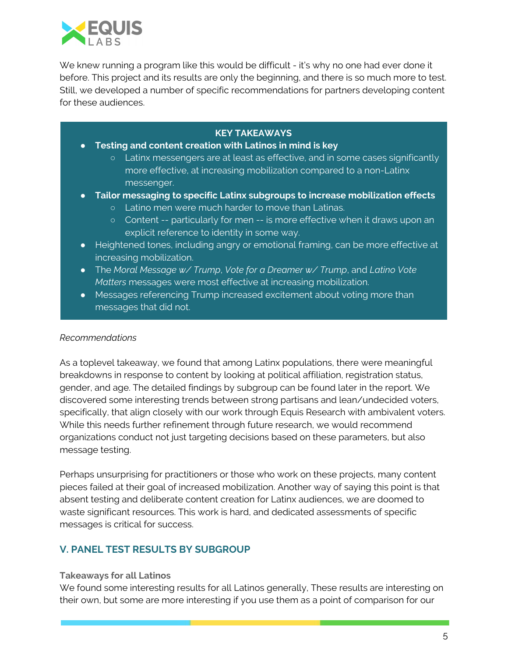

We knew running a program like this would be difficult - it's why no one had ever done it before. This project and its results are only the beginning, and there is so much more to test. Still, we developed a number of specific recommendations for partners developing content for these audiences.

## **KEY TAKEAWAYS**

- **● Testing and content creation with Latinos in mind is key**
	- **○** Latinx messengers are at least as effective, and in some cases significantly more effective, at increasing mobilization compared to a non-Latinx messenger.
- **● Tailor messaging to specific Latinx subgroups to increase mobilization effects**
	- **○** Latino men were much harder to move than Latinas.
	- **○** Content -- particularly for men -- is more effective when it draws upon an explicit reference to identity in some way.
- **●** Heightened tones, including angry or emotional framing, can be more effective at increasing mobilization.
- **●** The *Moral Message w/ Trump*, *Vote for a Dreamer w/ Trump*, and *Latino Vote Matters* messages were most effective at increasing mobilization.
- **●** Messages referencing Trump increased excitement about voting more than messages that did not.

### *Recommendations*

As a toplevel takeaway, we found that among Latinx populations, there were meaningful breakdowns in response to content by looking at political affiliation, registration status, gender, and age. The detailed findings by subgroup can be found later in the report. We discovered some interesting trends between strong partisans and lean/undecided voters, specifically, that align closely with our work through Equis Research with ambivalent voters. While this needs further refinement through future research, we would recommend organizations conduct not just targeting decisions based on these parameters, but also message testing.

Perhaps unsurprising for practitioners or those who work on these projects, many content pieces failed at their goal of increased mobilization. Another way of saying this point is that absent testing and deliberate content creation for Latinx audiences, we are doomed to waste significant resources. This work is hard, and dedicated assessments of specific messages is critical for success.

## **V. PANEL TEST RESULTS BY SUBGROUP**

#### **Takeaways for all Latinos**

We found some interesting results for all Latinos generally, These results are interesting on their own, but some are more interesting if you use them as a point of comparison for our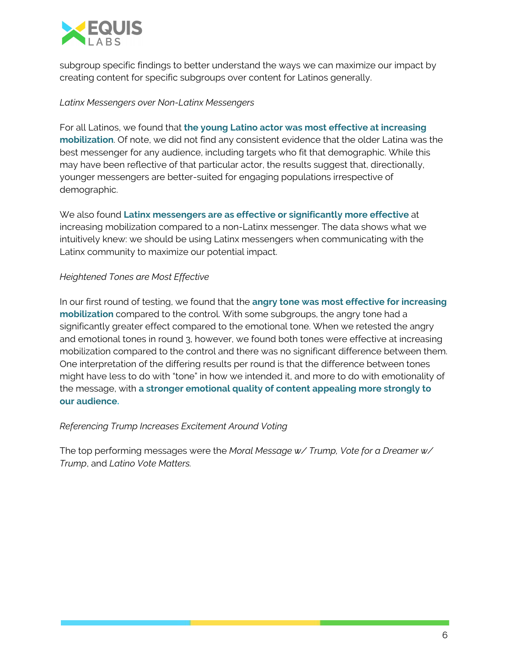

subgroup specific findings to better understand the ways we can maximize our impact by creating content for specific subgroups over content for Latinos generally.

### *Latinx Messengers over Non-Latinx Messengers*

For all Latinos, we found that **the young Latino actor was most effective at increasing mobilization**. Of note, we did not find any consistent evidence that the older Latina was the best messenger for any audience, including targets who fit that demographic. While this may have been reflective of that particular actor, the results suggest that, directionally, younger messengers are better-suited for engaging populations irrespective of demographic.

We also found **Latinx messengers are as effective or significantly more effective** at increasing mobilization compared to a non-Latinx messenger. The data shows what we intuitively knew: we should be using Latinx messengers when communicating with the Latinx community to maximize our potential impact.

## *Heightened Tones are Most Effective*

In our first round of testing, we found that the **angry tone was most effective for increasing mobilization** compared to the control. With some subgroups, the angry tone had a significantly greater effect compared to the emotional tone. When we retested the angry and emotional tones in round 3, however, we found both tones were effective at increasing mobilization compared to the control and there was no significant difference between them. One interpretation of the differing results per round is that the difference between tones might have less to do with "tone" in how we intended it, and more to do with emotionality of the message, with **a stronger emotional quality of content appealing more strongly to our audience.**

### *Referencing Trump Increases Excitement Around Voting*

The top performing messages were the *Moral Message w/ Trump, Vote for a Dreamer w/ Trump*, and *Latino Vote Matters.*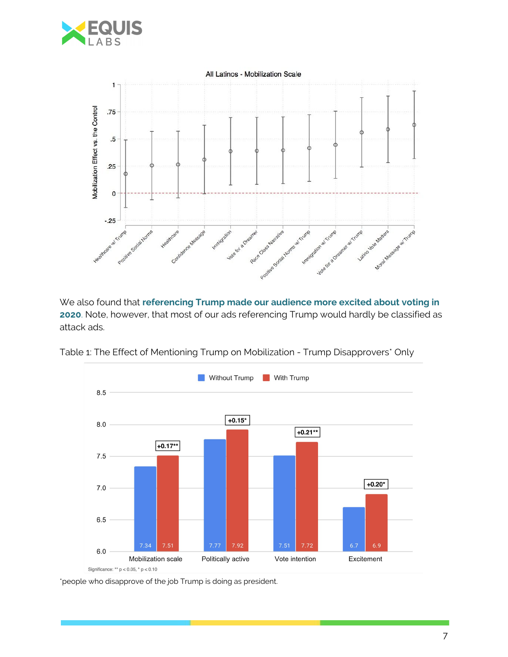



We also found that **referencing Trump made our audience more excited about voting in 2020**. Note, however, that most of our ads referencing Trump would hardly be classified as attack ads.



Table 1: The Effect of Mentioning Trump on Mobilization - Trump Disapprovers\* Only

\*people who disapprove of the job Trump is doing as president.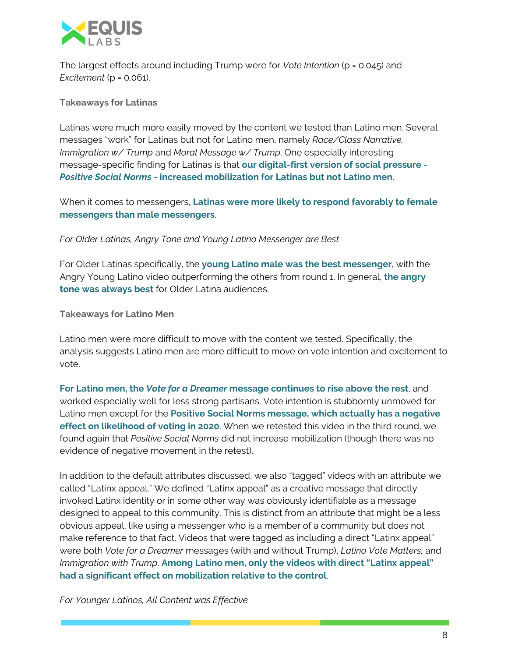

The largest effects around including Trump were for *Vote Intention* (p = 0.045) and *Excitement* (p = 0.061).

**Takeaways for Latinas**

Latinas were much more easily moved by the content we tested than Latino men. Several messages "work" for Latinas but not for Latino men, namely *Race/Class Narrative, Immigration w/ Trump* and *Moral Message w/ Trump*. One especially interesting message-specific finding for Latinas is that **our digital-first version of social pressure -** *Positive Social Norms* **- increased mobilization for Latinas but not Latino men.**

When it comes to messengers, **Latinas were more likely to respond favorably to female messengers than male messengers**.

*For Older Latinas, Angry Tone and Young Latino Messenger are Best*

For Older Latinas specifically, the **young Latino male was the best messenger**, with the Angry Young Latino video outperforming the others from round 1. In general, **the angry tone was always best** for Older Latina audiences.

**Takeaways for Latino Men**

Latino men were more difficult to move with the content we tested. Specifically, the analysis suggests Latino men are more difficult to move on vote intention and excitement to vote.

**For Latino men, the** *Vote for a Dreamer* **message continues to rise above the rest**, and worked especially well for less strong partisans. Vote intention is stubbornly unmoved for Latino men except for the **Positive Social Norms message, which actually has a negative effect on likelihood of voting in 2020**. When we retested this video in the third round, we found again that *Positive Social Norms* did not increase mobilization (though there was no evidence of negative movement in the retest).

In addition to the default attributes discussed, we also "tagged" videos with an attribute we called "Latinx appeal." We defined "Latinx appeal" as a creative message that directly invoked Latinx identity or in some other way was obviously identifiable as a message designed to appeal to this community. This is distinct from an attribute that might be a less obvious appeal, like using a messenger who is a member of a community but does not make reference to that fact. Videos that were tagged as including a direct "Latinx appeal" were both *Vote for a Dreamer* messages (with and without Trump), *Latino Vote Matters,* and *Immigration with Trump*. **Among Latino men, only the videos with direct "Latinx appeal" had a significant effect on mobilization relative to the control**.

*For Younger Latinos, All Content was Effective*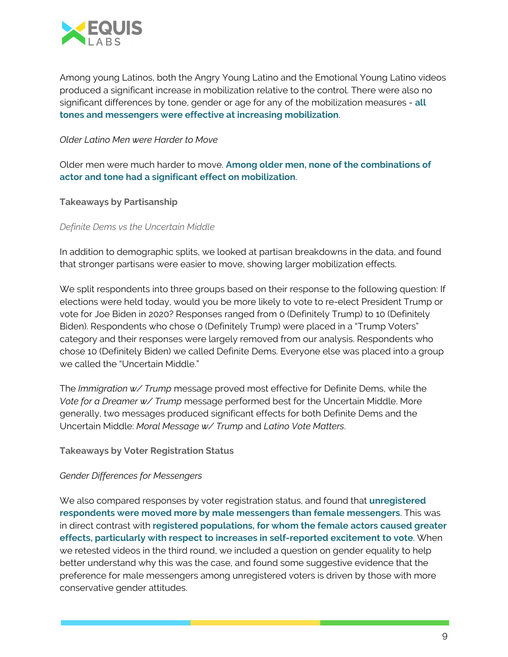

Among young Latinos, both the Angry Young Latino and the Emotional Young Latino videos produced a significant increase in mobilization relative to the control. There were also no significant differences by tone, gender or age for any of the mobilization measures - **all tones and messengers were effective at increasing mobilization**.

#### *Older Latino Men were Harder to Move*

Older men were much harder to move. **Among older men, none of the combinations of actor and tone had a significant effect on mobilization**.

**Takeaways by Partisanship**

*Definite Dems vs the Uncertain Middle*

In addition to demographic splits, we looked at partisan breakdowns in the data, and found that stronger partisans were easier to move, showing larger mobilization effects.

We split respondents into three groups based on their response to the following question: If elections were held today, would you be more likely to vote to re-elect President Trump or vote for Joe Biden in 2020? Responses ranged from 0 (Definitely Trump) to 10 (Definitely Biden). Respondents who chose 0 (Definitely Trump) were placed in a "Trump Voters" category and their responses were largely removed from our analysis. Respondents who chose 10 (Definitely Biden) we called Definite Dems. Everyone else was placed into a group we called the "Uncertain Middle."

The *Immigration w/ Trump* message proved most effective for Definite Dems, while the *Vote for a Dreamer w/ Trump* message performed best for the Uncertain Middle. More generally, two messages produced significant effects for both Definite Dems and the Uncertain Middle: *Moral Message w/ Trump* and *Latino Vote Matters*.

**Takeaways by Voter Registration Status**

### *Gender Differences for Messengers*

We also compared responses by voter registration status, and found that **unregistered respondents were moved more by male messengers than female messengers**. This was in direct contrast with **registered populations, for whom the female actors caused greater effects, particularly with respect to increases in self-reported excitement to vote**. When we retested videos in the third round, we included a question on gender equality to help better understand why this was the case, and found some suggestive evidence that the preference for male messengers among unregistered voters is driven by those with more conservative gender attitudes.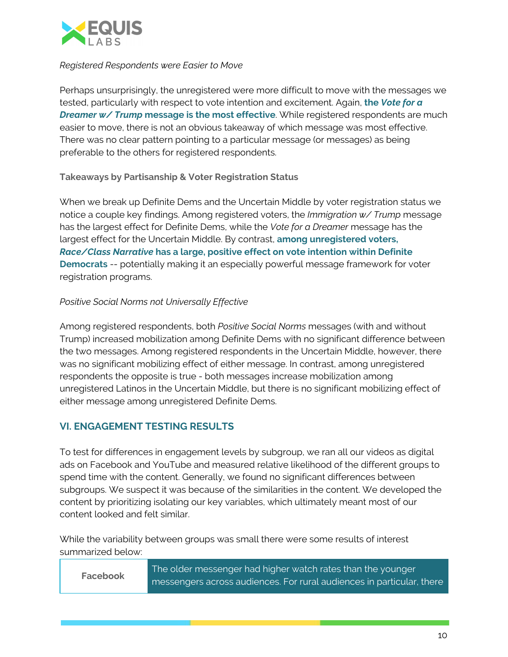

#### *Registered Respondents were Easier to Move*

Perhaps unsurprisingly, the unregistered were more difficult to move with the messages we tested, particularly with respect to vote intention and excitement. Again, **the** *Vote for a Dreamer w/ Trump* **message is the most effective**. While registered respondents are much easier to move, there is not an obvious takeaway of which message was most effective. There was no clear pattern pointing to a particular message (or messages) as being preferable to the others for registered respondents.

### **Takeaways by Partisanship & Voter Registration Status**

When we break up Definite Dems and the Uncertain Middle by voter registration status we notice a couple key findings. Among registered voters, the *Immigration w/ Trump* message has the largest effect for Definite Dems, while the *Vote for a Dreamer* message has the largest effect for the Uncertain Middle. By contrast, **among unregistered voters,** *Race/Class Narrative* **has a large, positive effect on vote intention within Definite Democrats** -- potentially making it an especially powerful message framework for voter registration programs.

### *Positive Social Norms not Universally Effective*

Among registered respondents, both *Positive Social Norms* messages (with and without Trump) increased mobilization among Definite Dems with no significant difference between the two messages. Among registered respondents in the Uncertain Middle, however, there was no significant mobilizing effect of either message. In contrast, among unregistered respondents the opposite is true - both messages increase mobilization among unregistered Latinos in the Uncertain Middle, but there is no significant mobilizing effect of either message among unregistered Definite Dems.

## **VI. ENGAGEMENT TESTING RESULTS**

To test for differences in engagement levels by subgroup, we ran all our videos as digital ads on Facebook and YouTube and measured relative likelihood of the different groups to spend time with the content. Generally, we found no significant differences between subgroups. We suspect it was because of the similarities in the content. We developed the content by prioritizing isolating our key variables, which ultimately meant most of our content looked and felt similar.

While the variability between groups was small there were some results of interest summarized below:

| Facebook | The older messenger had higher watch rates than the younger           |
|----------|-----------------------------------------------------------------------|
|          | messengers across audiences. For rural audiences in particular, there |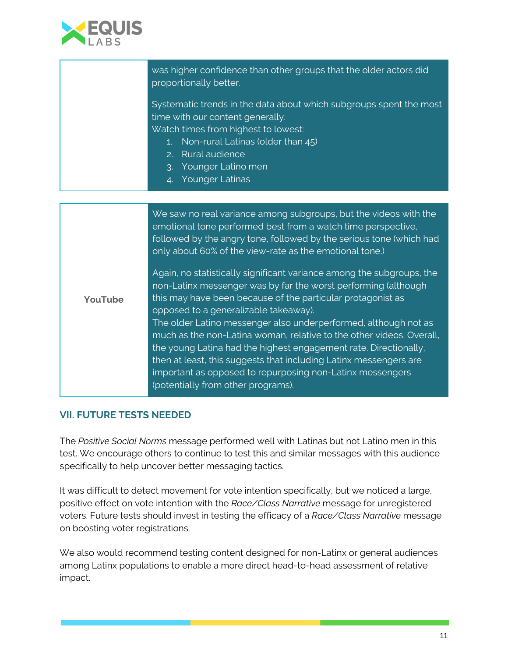

| was higher confidence than other groups that the older actors did<br>proportionally better.                                                                                                                                                                                                                                                                                                                                                                                                                                                                                                                                            |
|----------------------------------------------------------------------------------------------------------------------------------------------------------------------------------------------------------------------------------------------------------------------------------------------------------------------------------------------------------------------------------------------------------------------------------------------------------------------------------------------------------------------------------------------------------------------------------------------------------------------------------------|
| Systematic trends in the data about which subgroups spent the most<br>time with our content generally.<br>Watch times from highest to lowest:<br>1. Non-rural Latinas (older than 45)<br>2. Rural audience<br>3. Younger Latino men<br>4. Younger Latinas                                                                                                                                                                                                                                                                                                                                                                              |
|                                                                                                                                                                                                                                                                                                                                                                                                                                                                                                                                                                                                                                        |
| We saw no real variance among subgroups, but the videos with the<br>emotional tone performed best from a watch time perspective,<br>followed by the angry tone, followed by the serious tone (which had<br>only about 60% of the view-rate as the emotional tone.)                                                                                                                                                                                                                                                                                                                                                                     |
| Again, no statistically significant variance among the subgroups, the<br>non-Latinx messenger was by far the worst performing (although<br>this may have been because of the particular protagonist as<br>opposed to a generalizable takeaway).<br>The older Latino messenger also underperformed, although not as<br>much as the non-Latina woman, relative to the other videos. Overall,<br>the young Latina had the highest engagement rate. Directionally,<br>then at least, this suggests that including Latinx messengers are<br>important as opposed to repurposing non-Latinx messengers<br>(potentially from other programs). |
|                                                                                                                                                                                                                                                                                                                                                                                                                                                                                                                                                                                                                                        |

## **VII. FUTURE TESTS NEEDED**

The *Positive Social Norms* message performed well with Latinas but not Latino men in this test. We encourage others to continue to test this and similar messages with this audience specifically to help uncover better messaging tactics.

It was difficult to detect movement for vote intention specifically, but we noticed a large, positive effect on vote intention with the *Race/Class Narrative* message for unregistered voters. Future tests should invest in testing the efficacy of a *Race/Class Narrative* message on boosting voter registrations.

We also would recommend testing content designed for non-Latinx or general audiences among Latinx populations to enable a more direct head-to-head assessment of relative impact.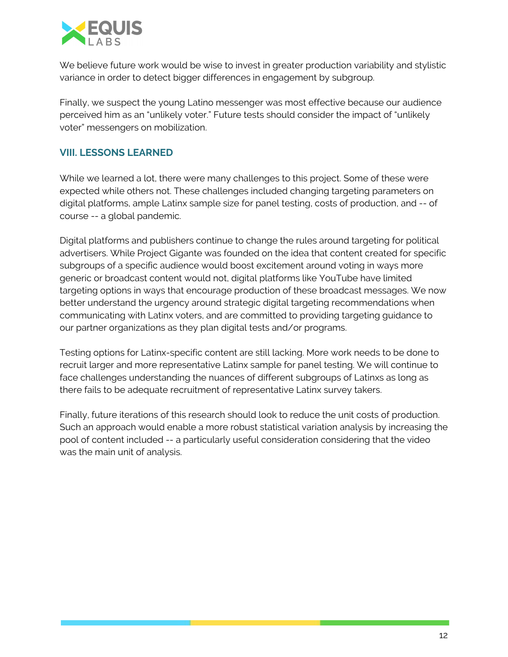

We believe future work would be wise to invest in greater production variability and stylistic variance in order to detect bigger differences in engagement by subgroup.

Finally, we suspect the young Latino messenger was most effective because our audience perceived him as an "unlikely voter." Future tests should consider the impact of "unlikely voter" messengers on mobilization.

## **VIII. LESSONS LEARNED**

While we learned a lot, there were many challenges to this project. Some of these were expected while others not. These challenges included changing targeting parameters on digital platforms, ample Latinx sample size for panel testing, costs of production, and -- of course -- a global pandemic.

Digital platforms and publishers continue to change the rules around targeting for political advertisers. While Project Gigante was founded on the idea that content created for specific subgroups of a specific audience would boost excitement around voting in ways more generic or broadcast content would not, digital platforms like YouTube have limited targeting options in ways that encourage production of these broadcast messages. We now better understand the urgency around strategic digital targeting recommendations when communicating with Latinx voters, and are committed to providing targeting guidance to our partner organizations as they plan digital tests and/or programs.

Testing options for Latinx-specific content are still lacking. More work needs to be done to recruit larger and more representative Latinx sample for panel testing. We will continue to face challenges understanding the nuances of different subgroups of Latinxs as long as there fails to be adequate recruitment of representative Latinx survey takers.

Finally, future iterations of this research should look to reduce the unit costs of production. Such an approach would enable a more robust statistical variation analysis by increasing the pool of content included -- a particularly useful consideration considering that the video was the main unit of analysis.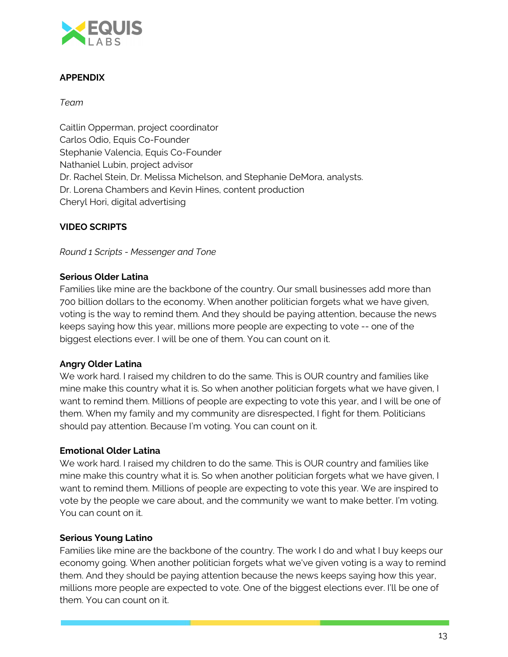

## **APPENDIX**

*Team*

Caitlin Opperman, project coordinator Carlos Odio, Equis Co-Founder Stephanie Valencia, Equis Co-Founder Nathaniel Lubin, project advisor Dr. Rachel Stein, Dr. Melissa Michelson, and Stephanie DeMora, analysts. Dr. Lorena Chambers and Kevin Hines, content production Cheryl Hori, digital advertising

## **VIDEO SCRIPTS**

*Round 1 Scripts - Messenger and Tone*

## **Serious Older Latina**

Families like mine are the backbone of the country. Our small businesses add more than 700 billion dollars to the economy. When another politician forgets what we have given, voting is the way to remind them. And they should be paying attention, because the news keeps saying how this year, millions more people are expecting to vote -- one of the biggest elections ever. I will be one of them. You can count on it.

### **Angry Older Latina**

We work hard. I raised my children to do the same. This is OUR country and families like mine make this country what it is. So when another politician forgets what we have given, I want to remind them. Millions of people are expecting to vote this year, and I will be one of them. When my family and my community are disrespected, I fight for them. Politicians should pay attention. Because I'm voting. You can count on it.

### **Emotional Older Latina**

We work hard. I raised my children to do the same. This is OUR country and families like mine make this country what it is. So when another politician forgets what we have given, I want to remind them. Millions of people are expecting to vote this year. We are inspired to vote by the people we care about, and the community we want to make better. I'm voting. You can count on it.

### **Serious Young Latino**

Families like mine are the backbone of the country. The work I do and what I buy keeps our economy going. When another politician forgets what we've given voting is a way to remind them. And they should be paying attention because the news keeps saying how this year, millions more people are expected to vote. One of the biggest elections ever. I'll be one of them. You can count on it.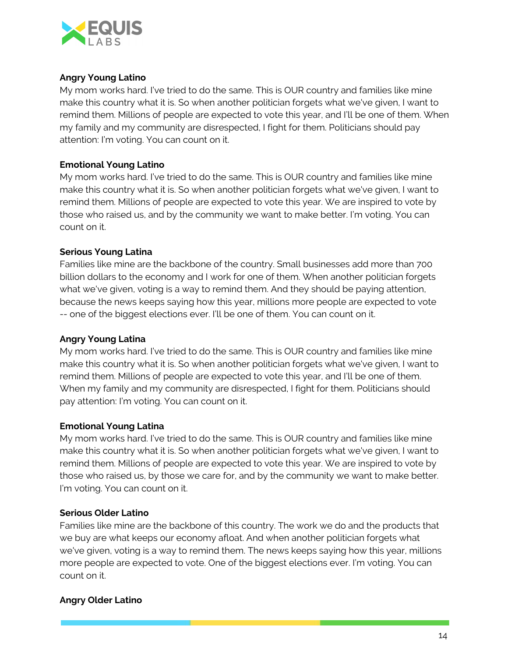

## **Angry Young Latino**

My mom works hard. I've tried to do the same. This is OUR country and families like mine make this country what it is. So when another politician forgets what we've given, I want to remind them. Millions of people are expected to vote this year, and I'll be one of them. When my family and my community are disrespected, I fight for them. Politicians should pay attention: I'm voting. You can count on it.

## **Emotional Young Latino**

My mom works hard. I've tried to do the same. This is OUR country and families like mine make this country what it is. So when another politician forgets what we've given, I want to remind them. Millions of people are expected to vote this year. We are inspired to vote by those who raised us, and by the community we want to make better. I'm voting. You can count on it.

## **Serious Young Latina**

Families like mine are the backbone of the country. Small businesses add more than 700 billion dollars to the economy and I work for one of them. When another politician forgets what we've given, voting is a way to remind them. And they should be paying attention, because the news keeps saying how this year, millions more people are expected to vote -- one of the biggest elections ever. I'll be one of them. You can count on it.

### **Angry Young Latina**

My mom works hard. I've tried to do the same. This is OUR country and families like mine make this country what it is. So when another politician forgets what we've given, I want to remind them. Millions of people are expected to vote this year, and I'll be one of them. When my family and my community are disrespected, I fight for them. Politicians should pay attention: I'm voting. You can count on it.

### **Emotional Young Latina**

My mom works hard. I've tried to do the same. This is OUR country and families like mine make this country what it is. So when another politician forgets what we've given, I want to remind them. Millions of people are expected to vote this year. We are inspired to vote by those who raised us, by those we care for, and by the community we want to make better. I'm voting. You can count on it.

### **Serious Older Latino**

Families like mine are the backbone of this country. The work we do and the products that we buy are what keeps our economy afloat. And when another politician forgets what we've given, voting is a way to remind them. The news keeps saying how this year, millions more people are expected to vote. One of the biggest elections ever. I'm voting. You can count on it.

## **Angry Older Latino**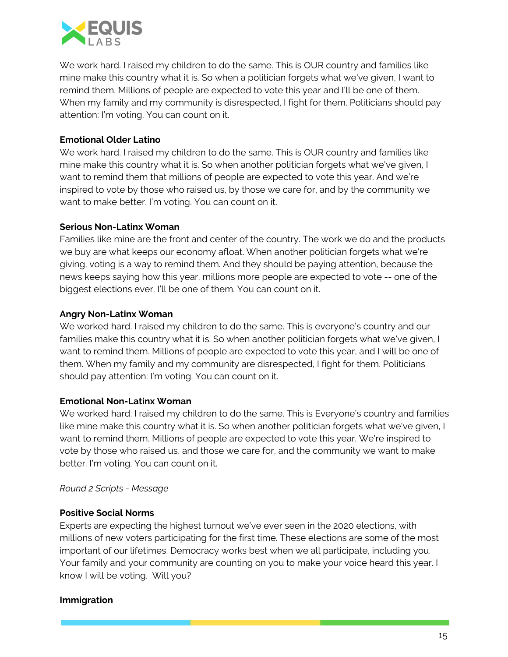

We work hard. I raised my children to do the same. This is OUR country and families like mine make this country what it is. So when a politician forgets what we've given, I want to remind them. Millions of people are expected to vote this year and I'll be one of them. When my family and my community is disrespected, I fight for them. Politicians should pay attention: I'm voting. You can count on it.

## **Emotional Older Latino**

We work hard. I raised my children to do the same. This is OUR country and families like mine make this country what it is. So when another politician forgets what we've given, I want to remind them that millions of people are expected to vote this year. And we're inspired to vote by those who raised us, by those we care for, and by the community we want to make better. I'm voting. You can count on it.

## **Serious Non-Latinx Woman**

Families like mine are the front and center of the country. The work we do and the products we buy are what keeps our economy afloat. When another politician forgets what we're giving, voting is a way to remind them. And they should be paying attention, because the news keeps saying how this year, millions more people are expected to vote -- one of the biggest elections ever. I'll be one of them. You can count on it.

## **Angry Non-Latinx Woman**

We worked hard. I raised my children to do the same. This is everyone's country and our families make this country what it is. So when another politician forgets what we've given, I want to remind them. Millions of people are expected to vote this year, and I will be one of them. When my family and my community are disrespected, I fight for them. Politicians should pay attention: I'm voting. You can count on it.

### **Emotional Non-Latinx Woman**

We worked hard. I raised my children to do the same. This is Everyone's country and families like mine make this country what it is. So when another politician forgets what we've given, I want to remind them. Millions of people are expected to vote this year. We're inspired to vote by those who raised us, and those we care for, and the community we want to make better. I'm voting. You can count on it.

### *Round 2 Scripts - Message*

### **Positive Social Norms**

Experts are expecting the highest turnout we've ever seen in the 2020 elections, with millions of new voters participating for the first time. These elections are some of the most important of our lifetimes. Democracy works best when we all participate, including you. Your family and your community are counting on you to make your voice heard this year. I know I will be voting. Will you?

## **Immigration**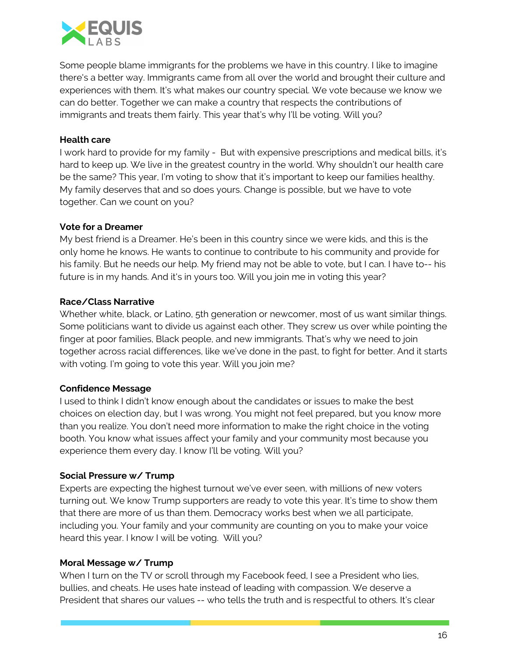

Some people blame immigrants for the problems we have in this country. I like to imagine there's a better way. Immigrants came from all over the world and brought their culture and experiences with them. It's what makes our country special. We vote because we know we can do better. Together we can make a country that respects the contributions of immigrants and treats them fairly. This year that's why I'll be voting. Will you?

## **Health care**

I work hard to provide for my family - But with expensive prescriptions and medical bills, it's hard to keep up. We live in the greatest country in the world. Why shouldn't our health care be the same? This year, I'm voting to show that it's important to keep our families healthy. My family deserves that and so does yours. Change is possible, but we have to vote together. Can we count on you?

## **Vote for a Dreamer**

My best friend is a Dreamer. He's been in this country since we were kids, and this is the only home he knows. He wants to continue to contribute to his community and provide for his family. But he needs our help. My friend may not be able to vote, but I can. I have to-- his future is in my hands. And it's in yours too. Will you join me in voting this year?

## **Race/Class Narrative**

Whether white, black, or Latino, 5th generation or newcomer, most of us want similar things. Some politicians want to divide us against each other. They screw us over while pointing the finger at poor families, Black people, and new immigrants. That's why we need to join together across racial differences, like we've done in the past, to fight for better. And it starts with voting. I'm going to vote this year. Will you join me?

### **Confidence Message**

I used to think I didn't know enough about the candidates or issues to make the best choices on election day, but I was wrong. You might not feel prepared, but you know more than you realize. You don't need more information to make the right choice in the voting booth. You know what issues affect your family and your community most because you experience them every day. I know I'll be voting. Will you?

### **Social Pressure w/ Trump**

Experts are expecting the highest turnout we've ever seen, with millions of new voters turning out. We know Trump supporters are ready to vote this year. It's time to show them that there are more of us than them. Democracy works best when we all participate, including you. Your family and your community are counting on you to make your voice heard this year. I know I will be voting. Will you?

### **Moral Message w/ Trump**

When I turn on the TV or scroll through my Facebook feed, I see a President who lies, bullies, and cheats. He uses hate instead of leading with compassion. We deserve a President that shares our values -- who tells the truth and is respectful to others. It's clear